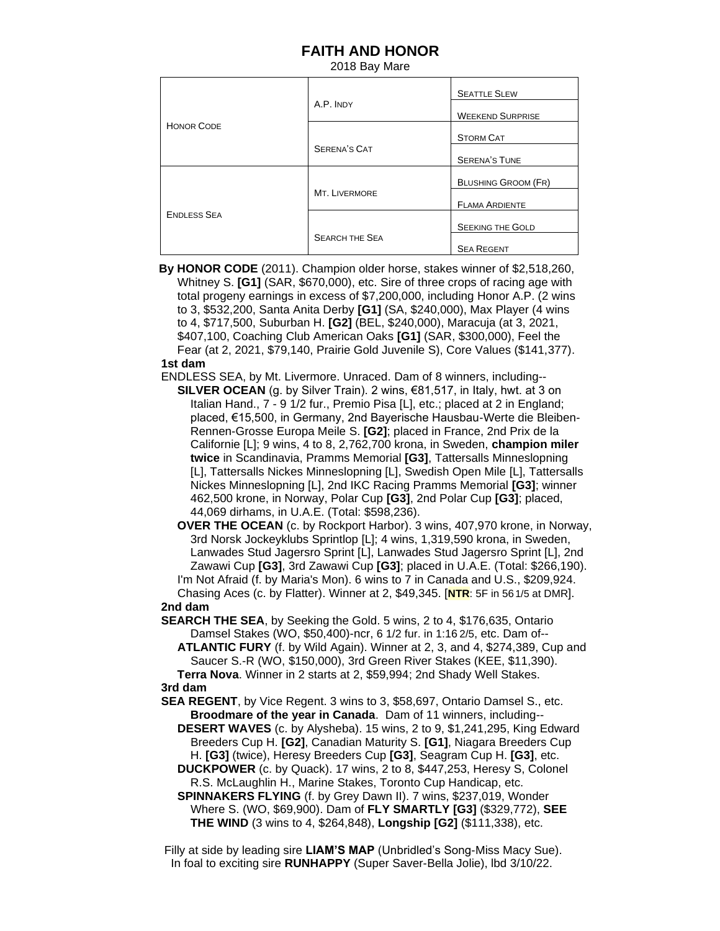## **FAITH AND HONOR**

2018 Bay Mare

| <b>HONOR CODE</b>  | A.P. INDY             | <b>SEATTLE SLEW</b>        |
|--------------------|-----------------------|----------------------------|
|                    |                       | <b>WEEKEND SURPRISE</b>    |
|                    |                       | <b>STORM CAT</b>           |
|                    | <b>SERENA'S CAT</b>   | <b>SERENA'S TUNE</b>       |
| <b>ENDLESS SEA</b> | MT. LIVERMORE         | <b>BLUSHING GROOM (FR)</b> |
|                    |                       | <b>FLAMA ARDIENTE</b>      |
|                    |                       | <b>SEEKING THE GOLD</b>    |
|                    | <b>SEARCH THE SEA</b> | <b>SEA REGENT</b>          |

 **By HONOR CODE** (2011). Champion older horse, stakes winner of \$2,518,260, Whitney S. **[G1]** (SAR, \$670,000), etc. Sire of three crops of racing age with total progeny earnings in excess of \$7,200,000, including Honor A.P. (2 wins to 3, \$532,200, Santa Anita Derby **[G1]** (SA, \$240,000), Max Player (4 wins to 4, \$717,500, Suburban H. **[G2]** (BEL, \$240,000), Maracuja (at 3, 2021, \$407,100, Coaching Club American Oaks **[G1]** (SAR, \$300,000), Feel the Fear (at 2, 2021, \$79,140, Prairie Gold Juvenile S), Core Values (\$141,377). **1st dam**

ENDLESS SEA, by Mt. Livermore. Unraced. Dam of 8 winners, including--

 **SILVER OCEAN** (g. by Silver Train). 2 wins, €81,517, in Italy, hwt. at 3 on Italian Hand., 7 - 9 1/2 fur., Premio Pisa [L], etc.; placed at 2 in England; placed, €15,500, in Germany, 2nd Bayerische Hausbau-Werte die Bleiben- Rennen-Grosse Europa Meile S. **[G2]**; placed in France, 2nd Prix de la Californie [L]; 9 wins, 4 to 8, 2,762,700 krona, in Sweden, **champion miler twice** in Scandinavia, Pramms Memorial **[G3]**, Tattersalls Minneslopning [L], Tattersalls Nickes Minneslopning [L], Swedish Open Mile [L], Tattersalls Nickes Minneslopning [L], 2nd IKC Racing Pramms Memorial **[G3]**; winner 462,500 krone, in Norway, Polar Cup **[G3]**, 2nd Polar Cup **[G3]**; placed, 44,069 dirhams, in U.A.E. (Total: \$598,236).

 **OVER THE OCEAN** (c. by Rockport Harbor). 3 wins, 407,970 krone, in Norway, 3rd Norsk Jockeyklubs Sprintlop [L]; 4 wins, 1,319,590 krona, in Sweden, Lanwades Stud Jagersro Sprint [L], Lanwades Stud Jagersro Sprint [L], 2nd Zawawi Cup **[G3]**, 3rd Zawawi Cup **[G3]**; placed in U.A.E. (Total: \$266,190). I'm Not Afraid (f. by Maria's Mon). 6 wins to 7 in Canada and U.S., \$209,924.

 Chasing Aces (c. by Flatter). Winner at 2, \$49,345. [**NTR**: 5F in 561/5 at DMR]. **2nd dam** 

 **SEARCH THE SEA**, by Seeking the Gold. 5 wins, 2 to 4, \$176,635, Ontario Damsel Stakes (WO, \$50,400)-ncr, 6 1/2 fur. in 1:16 2/5, etc. Dam of--

 **ATLANTIC FURY** (f. by Wild Again). Winner at 2, 3, and 4, \$274,389, Cup and Saucer S.-R (WO, \$150,000), 3rd Green River Stakes (KEE, \$11,390). **Terra Nova**. Winner in 2 starts at 2, \$59,994; 2nd Shady Well Stakes. **3rd dam**

 **SEA REGENT**, by Vice Regent. 3 wins to 3, \$58,697, Ontario Damsel S., etc. **Broodmare of the year in Canada**. Dam of 11 winners, including--

 **DESERT WAVES** (c. by Alysheba). 15 wins, 2 to 9, \$1,241,295, King Edward Breeders Cup H. **[G2]**, Canadian Maturity S. **[G1]**, Niagara Breeders Cup H. **[G3]** (twice), Heresy Breeders Cup **[G3]**, Seagram Cup H. **[G3]**, etc.

 **DUCKPOWER** (c. by Quack). 17 wins, 2 to 8, \$447,253, Heresy S, Colonel R.S. McLaughlin H., Marine Stakes, Toronto Cup Handicap, etc.

 **SPINNAKERS FLYING** (f. by Grey Dawn II). 7 wins, \$237,019, Wonder Where S. (WO, \$69,900). Dam of **FLY SMARTLY [G3]** (\$329,772), **SEE THE WIND** (3 wins to 4, \$264,848), **Longship [G2]** (\$111,338), etc.

 Filly at side by leading sire **LIAM'S MAP** (Unbridled's Song-Miss Macy Sue). In foal to exciting sire **RUNHAPPY** (Super Saver-Bella Jolie), lbd 3/10/22.